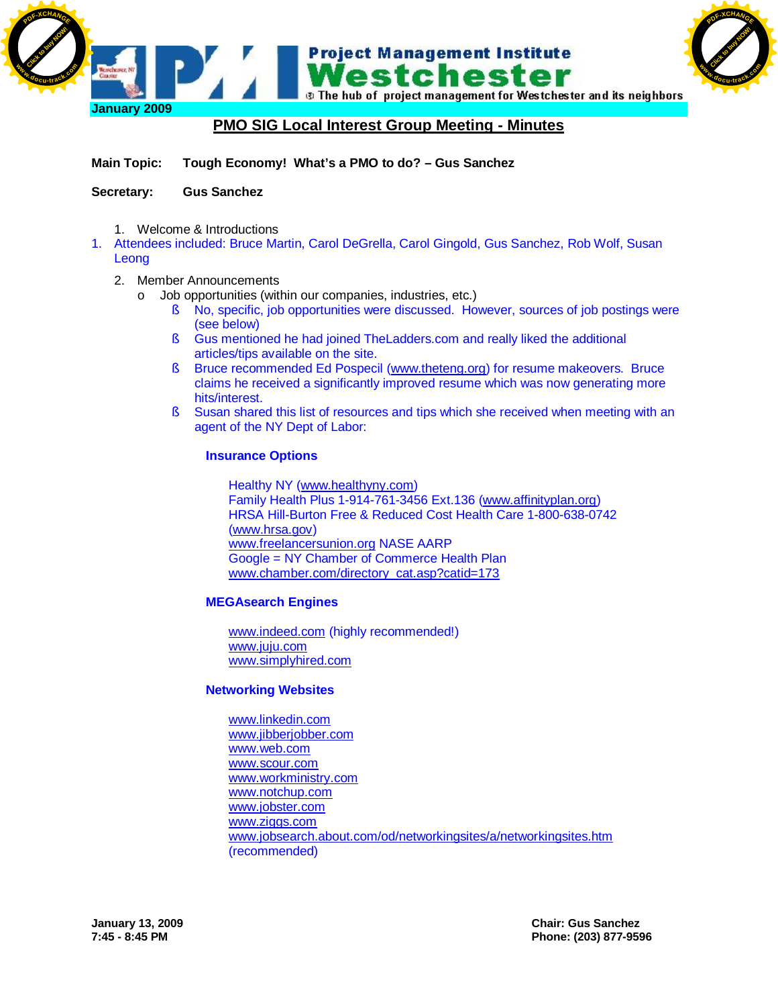

# **PMO SIG Local Interest Group Meeting - Minutes**

**Main Topic: Tough Economy! What's a PMO to do? – Gus Sanchez**

### **Secretary: Gus Sanchez**

- 1. Welcome & Introductions
- 1. Attendees included: Bruce Martin, Carol DeGrella, Carol Gingold, Gus Sanchez, Rob Wolf, Susan Leong

#### 2. Member Announcements

- o Job opportunities (within our companies, industries, etc.)
	- § No, specific, job opportunities were discussed. However, sources of job postings were (see below)
	- § Gus mentioned he had joined TheLadders.com and really liked the additional articles/tips available on the site.
	- § Bruce recommended Ed Pospecil ([www.theteng.org\)](http://www.theteng.org) for resume makeovers. Bruce claims he received a significantly improved resume which was now generating more hits/interest.
	- § Susan shared this list of resources and tips which she received when meeting with an agent of the NY Dept of Labor:

#### **Insurance Options**

Healthy NY ([www.healthyny.com\)](http://www.healthyny.com) Family Health Plus 1-914-761-3456 Ext.136 [\(www.affinityplan.org\)](http://www.affinityplan.org) HRSA Hill-Burton Free & Reduced Cost Health Care 1-800-638-0742 [\(www.hrsa.gov](http://www.hrsa.gov)) [www.freelancersunion.org](http://www.freelancersunion.org) NASE AARP Google = NY Chamber of Commerce Health Plan [www.chamber.com/directory\\_cat.asp?catid=173](http://www.chamber.com/directory_cat.asp?catid=173)

### **MEGAsearch Engines**

[www.indeed.com](http://www.indeed.com) (highly recommended!) [www.juju.com](http://www.juju.com) [www.simplyhired.com](http://www.simplyhired.com)

### **Networking Websites**

[www.linkedin.com](http://www.linkedin.com) [www.jibberjobber.com](http://www.jibberjobber.com) [www.web.com](http://www.web.com) [www.scour.com](http://www.scour.com) [www.workministry.com](http://www.workministry.com) [www.notchup.com](http://www.notchup.com) [www.jobster.com](http://www.jobster.com) [www.ziggs.com](http://www.ziggs.com) [www.jobsearch.about.com/od/networkingsites/a/networkingsites.htm](http://www.jobsearch.about.com/od/networkingsites/a/networkingsites.htm) (recommended)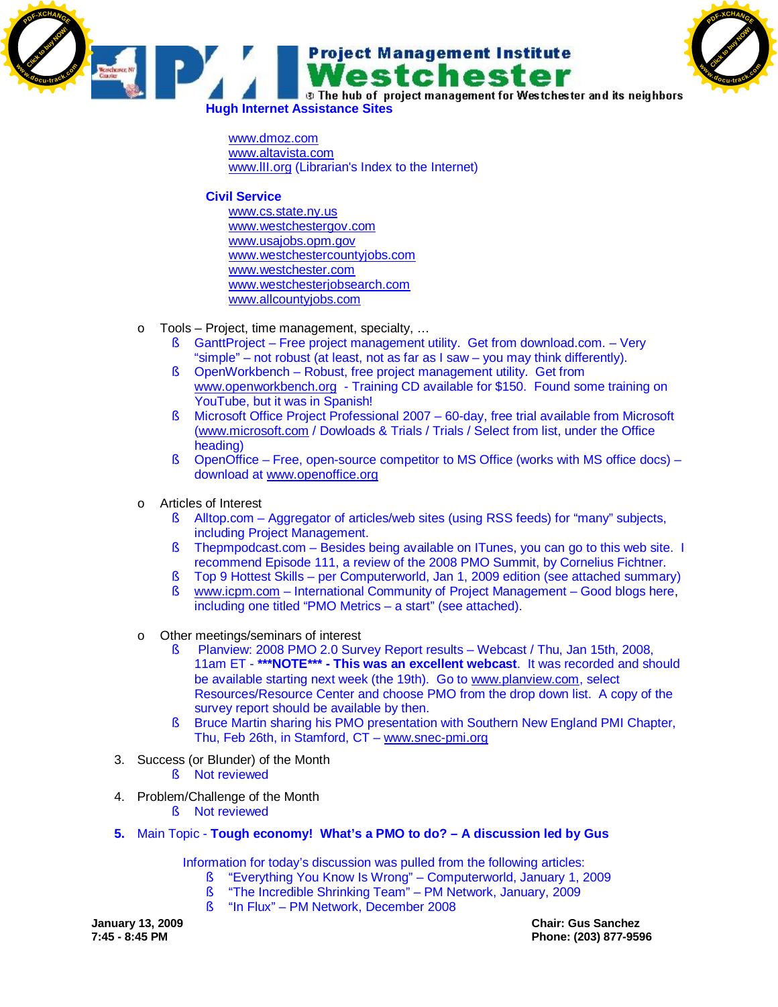



**Hugh Internet Assistance Sites**

[www.dmoz.com](http://www.dmoz.com) [www.altavista.com](http://www.altavista.com) [www.lII.org](http://www.lII.org) (Librarian's Index to the Internet)

### **Civil Service**

[www.cs.state.ny.us](http://www.cs.state.ny.us) [www.westchestergov.com](http://www.westchestergov.com) [www.usajobs.opm.gov](http://www.usajobs.opm.gov) [www.westchestercountyjobs.com](http://www.westchestercountyjobs.com) [www.westchester.com](http://www.westchester.com) [www.westchesterjobsearch.com](http://www.westchesterjobsearch.com) [www.allcountyjobs.com](http://www.allcountyjobs.com)

- o Tools Project, time management, specialty, …
	- § GanttProject Free project management utility. Get from download.com. Very "simple" – not robust (at least, not as far as I saw – you may think differently).
	- § OpenWorkbench Robust, free project management utility. Get from [www.openworkbench.org](http://www.openworkbench.org) - Training CD available for \$150. Found some training on YouTube, but it was in Spanish!
	- § Microsoft Office Project Professional 2007 60-day, free trial available from Microsoft [\(www.microsoft.com](http://www.microsoft.com) / Dowloads & Trials / Trials / Select from list, under the Office heading)
	- § OpenOffice Free, open-source competitor to MS Office (works with MS office docs) download at [www.openoffice.org](http://www.openoffice.org)
- o Articles of Interest
	- § Alltop.com Aggregator of articles/web sites (using RSS feeds) for "many" subjects, including Project Management.
	- § Thepmpodcast.com Besides being available on ITunes, you can go to this web site. I recommend Episode 111, a review of the 2008 PMO Summit, by Cornelius Fichtner.
	- § Top 9 Hottest Skills per Computerworld, Jan 1, 2009 edition (see attached summary)
	- § [www.icpm.com](http://www.icpm.com)  International Community of Project Management Good blogs here, including one titled "PMO Metrics – a start" (see attached).
- o Other meetings/seminars of interest
	- § Planview: 2008 PMO 2.0 Survey Report results Webcast / Thu, Jan 15th, 2008, 11am ET - **\*\*\*NOTE\*\*\* - This was an excellent webcast**. It was recorded and should be available starting next week (the 19th). Go to [www.planview.com,](http://www.planview.com,) select Resources/Resource Center and choose PMO from the drop down list. A copy of the survey report should be available by then.
	- § Bruce Martin sharing his PMO presentation with Southern New England PMI Chapter, Thu, Feb 26th, in Stamford, CT – [www.snec-pmi.org](http://www.snec-pmi.org)
- 3. Success (or Blunder) of the Month
	- § Not reviewed
- 4. Problem/Challenge of the Month
	- § Not reviewed
- **5.** Main Topic **Tough economy! What's a PMO to do? A discussion led by Gus**

Information for today's discussion was pulled from the following articles:

- § "Everything You Know Is Wrong" Computerworld, January 1, 2009
	- § "The Incredible Shrinking Team" PM Network, January, 2009
	- § "In Flux" PM Network, December 2008